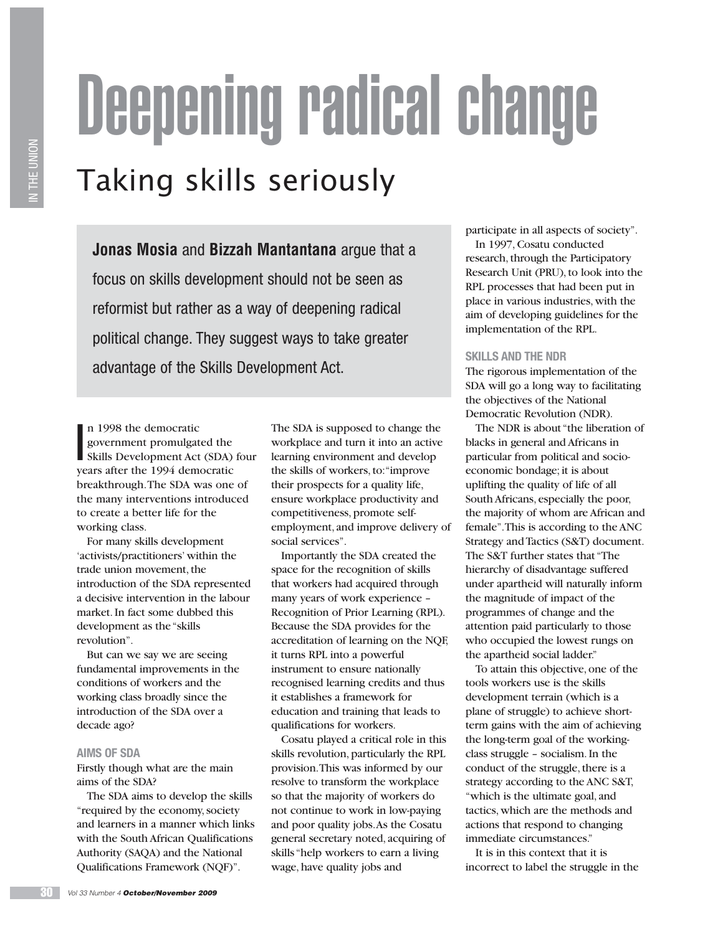# Deepening radical change

# Taking skills seriously

**Jonas Mosia** and **Bizzah Mantantana** argue that a focus on skills development should not be seen as reformist but rather as a way of deepening radical political change. They suggest ways to take greater advantage of the Skills Development Act.

n 1998 the democratic<br>government promulgated the<br>Skills Development Act (SDA) four n 1998 the democratic government promulgated the years after the 1994 democratic breakthrough. The SDA was one of the many interventions introduced to create a better life for the working class.

For many skills development 'activists/practitioners' within the trade union movement, the introduction of the SDA represented a decisive intervention in the labour market. In fact some dubbed this development as the "skills revolution".

But can we say we are seeing fundamental improvements in the conditions of workers and the working class broadly since the introduction of the SDA over a decade ago?

#### **AIMS OF SDA**

Firstly though what are the main aims of the SDA?

The SDA aims to develop the skills "required by the economy, society and learners in a manner which links with the South African Qualifications Authority (SAQA) and the National Qualifications Framework (NQF)".

The SDA is supposed to change the workplace and turn it into an active learning environment and develop the skills of workers, to: "improve their prospects for a quality life, ensure workplace productivity and competitiveness, promote selfemployment, and improve delivery of social services".

Importantly the SDA created the space for the recognition of skills that workers had acquired through many years of work experience – Recognition of Prior Learning (RPL). Because the SDA provides for the accreditation of learning on the NQF, it turns RPL into a powerful instrument to ensure nationally recognised learning credits and thus it establishes a framework for education and training that leads to qualifications for workers.

Cosatu played a critical role in this skills revolution, particularly the RPL provision. This was informed by our resolve to transform the workplace so that the majority of workers do not continue to work in low-paying and poor quality jobs. As the Cosatu general secretary noted, acquiring of skills "help workers to earn a living wage, have quality jobs and

participate in all aspects of society". In 1997, Cosatu conducted

research, through the Participatory Research Unit (PRU), to look into the RPL processes that had been put in place in various industries, with the aim of developing guidelines for the implementation of the RPL.

### **SKILLS AND THE NDR**

The rigorous implementation of the SDA will go a long way to facilitating the objectives of the National Democratic Revolution (NDR).

The NDR is about "the liberation of blacks in general and Africans in particular from political and socioeconomic bondage; it is about uplifting the quality of life of all South Africans, especially the poor, the majority of whom are African and female". This is according to the ANC Strategy and Tactics (S&T) document. The S&T further states that "The hierarchy of disadvantage suffered under apartheid will naturally inform the magnitude of impact of the programmes of change and the attention paid particularly to those who occupied the lowest rungs on the apartheid social ladder."

To attain this objective, one of the tools workers use is the skills development terrain (which is a plane of struggle) to achieve shortterm gains with the aim of achieving the long-term goal of the workingclass struggle – socialism. In the conduct of the struggle, there is a strategy according to the ANC S&T, "which is the ultimate goal, and tactics, which are the methods and actions that respond to changing immediate circumstances."

It is in this context that it is incorrect to label the struggle in the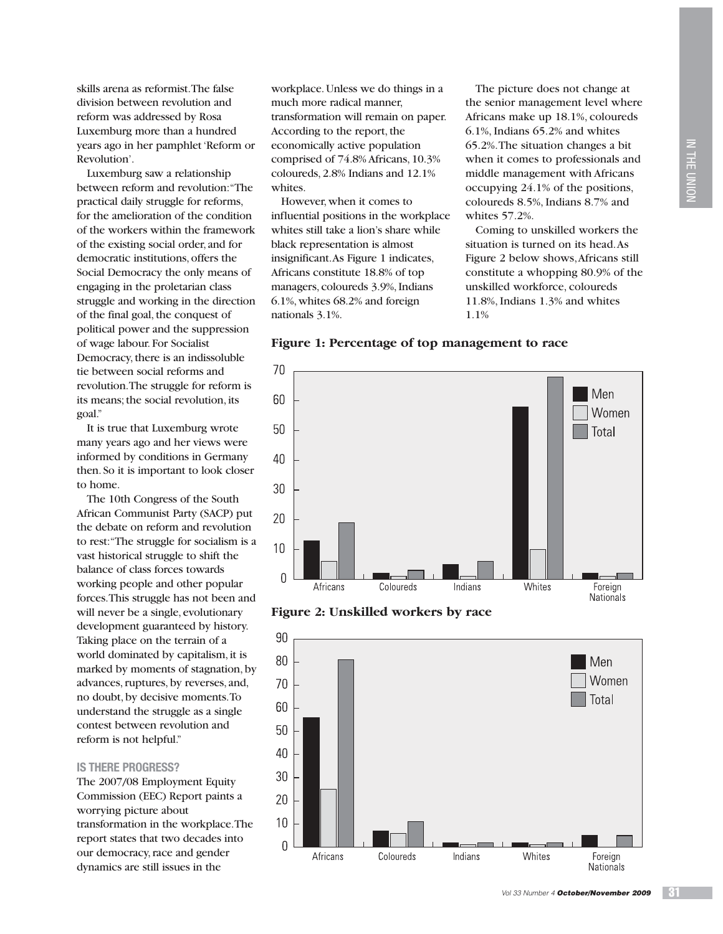skills arena as reformist. The false division between revolution and reform was addressed by Rosa Luxemburg more than a hundred years ago in her pamphlet 'Reform or Revolution'.

Luxemburg saw a relationship between reform and revolution: "The practical daily struggle for reforms, for the amelioration of the condition of the workers within the framework of the existing social order, and for democratic institutions, offers the Social Democracy the only means of engaging in the proletarian class struggle and working in the direction of the final goal, the conquest of political power and the suppression of wage labour. For Socialist Democracy, there is an indissoluble tie between social reforms and revolution. The struggle for reform is its means; the social revolution, its goal."

It is true that Luxemburg wrote many years ago and her views were informed by conditions in Germany then. So it is important to look closer to home.

The 10th Congress of the South African Communist Party (SACP) put the debate on reform and revolution to rest: "The struggle for socialism is a vast historical struggle to shift the balance of class forces towards working people and other popular forces. This struggle has not been and will never be a single, evolutionary development guaranteed by history. Taking place on the terrain of a world dominated by capitalism, it is marked by moments of stagnation, by advances, ruptures, by reverses, and, no doubt, by decisive moments. To understand the struggle as a single contest between revolution and reform is not helpful."

#### **IS THERE PROGRESS?**

The 2007/08 Employment Equity Commission (EEC) Report paints a worrying picture about transformation in the workplace. The report states that two decades into our democracy, race and gender dynamics are still issues in the

workplace. Unless we do things in a much more radical manner, transformation will remain on paper. According to the report, the economically active population comprised of 74.8% Africans, 10.3% coloureds, 2.8% Indians and 12.1% whites.

However, when it comes to influential positions in the workplace whites still take a lion's share while black representation is almost insignificant. As Figure 1 indicates, Africans constitute 18.8% of top managers, coloureds 3.9%, Indians 6.1%, whites 68.2% and foreign nationals 3.1%.

The picture does not change at the senior management level where Africans make up 18.1%, coloureds 6.1%, Indians 65.2% and whites 65.2%. The situation changes a bit when it comes to professionals and middle management with Africans occupying 24.1% of the positions, coloureds 8.5%, Indians 8.7% and whites 57.2%.

Coming to unskilled workers the situation is turned on its head. As Figure 2 below shows, Africans still constitute a whopping 80.9% of the unskilled workforce, coloureds 11.8%, Indians 1.3% and whites 1.1%

**Figure 1: Percentage of top management to race**



**Figure 2: Unskilled workers by race**